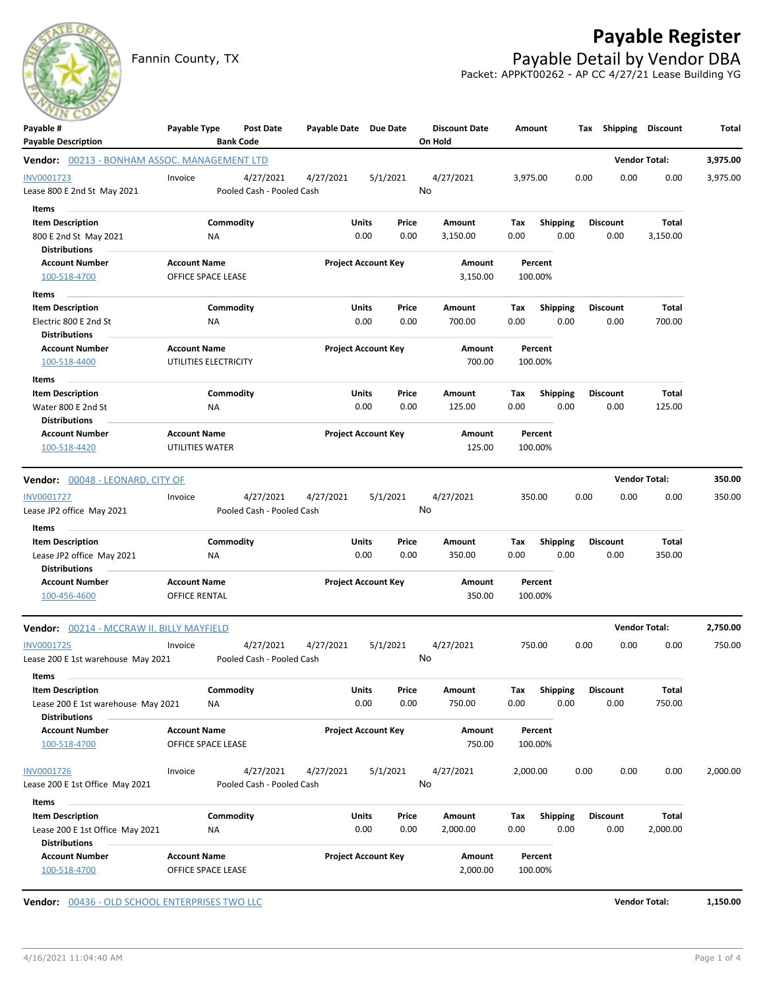

Fannin County, TX **Payable Detail by Vendor DBA** Packet: APPKT00262 - AP CC 4/27/21 Lease Building YG



| Payable #                                     | Payable Type                              | <b>Post Date</b>          | Payable Date Due Date      |                            |                    | <b>Discount Date</b> | Amount   |                 |      | Tax Shipping Discount |                      | Total    |
|-----------------------------------------------|-------------------------------------------|---------------------------|----------------------------|----------------------------|--------------------|----------------------|----------|-----------------|------|-----------------------|----------------------|----------|
| <b>Payable Description</b>                    |                                           | <b>Bank Code</b>          |                            |                            |                    | On Hold              |          |                 |      |                       |                      |          |
| Vendor: 00213 - BONHAM ASSOC. MANAGEMENT LTD  |                                           |                           |                            |                            |                    |                      |          |                 |      |                       | <b>Vendor Total:</b> | 3,975.00 |
| INV0001723                                    | Invoice                                   | 4/27/2021                 | 4/27/2021                  | 5/1/2021                   |                    | 4/27/2021            | 3,975.00 |                 | 0.00 | 0.00                  | 0.00                 | 3,975.00 |
| Lease 800 E 2nd St May 2021                   |                                           | Pooled Cash - Pooled Cash |                            |                            |                    | No                   |          |                 |      |                       |                      |          |
| Items                                         |                                           |                           |                            |                            |                    |                      |          |                 |      |                       |                      |          |
| <b>Item Description</b>                       |                                           | Commodity                 |                            | Units                      | Price              | Amount               | Tax      | <b>Shipping</b> |      | <b>Discount</b>       | Total                |          |
| 800 E 2nd St May 2021                         | NA                                        |                           |                            | 0.00                       | 0.00               | 3,150.00             | 0.00     | 0.00            |      | 0.00                  | 3,150.00             |          |
| <b>Distributions</b>                          |                                           |                           |                            |                            |                    |                      |          |                 |      |                       |                      |          |
| <b>Account Number</b><br>100-518-4700         | <b>Account Name</b><br>OFFICE SPACE LEASE |                           | <b>Project Account Key</b> |                            | Amount<br>3,150.00 | Percent<br>100.00%   |          |                 |      |                       |                      |          |
| Items                                         |                                           |                           |                            |                            |                    |                      |          |                 |      |                       |                      |          |
| <b>Item Description</b>                       |                                           | Commodity                 |                            | Units                      | Price              | Amount               | Tax      | Shipping        |      | <b>Discount</b>       | Total                |          |
| Electric 800 E 2nd St<br><b>Distributions</b> | ΝA                                        |                           |                            | 0.00                       | 0.00               | 700.00               | 0.00     | 0.00            |      | 0.00                  | 700.00               |          |
| <b>Account Number</b>                         | <b>Account Name</b>                       |                           |                            | <b>Project Account Key</b> |                    | Amount               |          | Percent         |      |                       |                      |          |
| 100-518-4400                                  | UTILITIES ELECTRICITY                     |                           |                            |                            |                    | 700.00               |          | 100.00%         |      |                       |                      |          |
| Items                                         |                                           |                           |                            |                            |                    |                      |          |                 |      |                       |                      |          |
| <b>Item Description</b>                       |                                           | Commodity                 |                            | Units                      | Price              | Amount               | Tax      | <b>Shipping</b> |      | <b>Discount</b>       | Total                |          |
| Water 800 E 2nd St                            | NA                                        |                           |                            | 0.00                       | 0.00               | 125.00               | 0.00     | 0.00            |      | 0.00                  | 125.00               |          |
| <b>Distributions</b>                          |                                           |                           |                            |                            |                    |                      |          |                 |      |                       |                      |          |
| <b>Account Number</b>                         | <b>Account Name</b>                       |                           |                            | <b>Project Account Key</b> |                    | Amount               |          | Percent         |      |                       |                      |          |
| 100-518-4420                                  | <b>UTILITIES WATER</b>                    |                           |                            |                            |                    | 125.00               |          | 100.00%         |      |                       |                      |          |
| Vendor: 00048 - LEONARD, CITY OF              |                                           |                           |                            |                            |                    |                      |          |                 |      |                       | <b>Vendor Total:</b> | 350.00   |
| INV0001727                                    | Invoice                                   | 4/27/2021                 | 4/27/2021                  | 5/1/2021                   |                    | 4/27/2021            |          | 350.00          | 0.00 | 0.00                  | 0.00                 | 350.00   |
| Lease JP2 office May 2021                     |                                           | Pooled Cash - Pooled Cash |                            |                            |                    | No                   |          |                 |      |                       |                      |          |
| Items                                         |                                           |                           |                            |                            |                    |                      |          |                 |      |                       |                      |          |
| <b>Item Description</b>                       |                                           | Commodity                 |                            | Units                      | Price              | Amount               | Tax      | <b>Shipping</b> |      | <b>Discount</b>       | Total                |          |
| Lease JP2 office May 2021                     | ΝA                                        |                           |                            | 0.00                       | 0.00               | 350.00               | 0.00     | 0.00            |      | 0.00                  | 350.00               |          |
| <b>Distributions</b>                          |                                           |                           |                            |                            |                    |                      |          |                 |      |                       |                      |          |
| <b>Account Number</b>                         | <b>Account Name</b>                       |                           |                            | <b>Project Account Key</b> |                    | Amount               |          | Percent         |      |                       |                      |          |
| 100-456-4600                                  | OFFICE RENTAL                             |                           |                            |                            |                    | 350.00               |          | 100.00%         |      |                       |                      |          |
| Vendor: 00214 - MCCRAW II, BILLY MAYFIELD     |                                           |                           |                            |                            |                    |                      |          |                 |      |                       | <b>Vendor Total:</b> | 2,750.00 |
| INV0001725                                    | Invoice                                   | 4/27/2021                 | 4/27/2021                  | 5/1/2021                   |                    | 4/27/2021            |          | 750.00          | 0.00 | 0.00                  | 0.00                 | 750.00   |
| Lease 200 E 1st warehouse May 2021            |                                           | Pooled Cash - Pooled Cash |                            |                            |                    | No                   |          |                 |      |                       |                      |          |
| Items                                         |                                           |                           |                            |                            |                    |                      |          |                 |      |                       |                      |          |
| <b>Item Description</b>                       |                                           | Commodity                 |                            | Units                      | Price              | Amount               | Tax      | Shipping        |      | <b>Discount</b>       | Total                |          |
| Lease 200 E 1st warehouse May 2021            | ΝA                                        |                           |                            | 0.00                       | 0.00               | 750.00               | 0.00     | 0.00            |      | 0.00                  | 750.00               |          |
| <b>Distributions</b>                          |                                           |                           |                            |                            |                    |                      |          |                 |      |                       |                      |          |
| <b>Account Number</b>                         | <b>Account Name</b>                       |                           |                            | <b>Project Account Key</b> |                    | Amount               |          | Percent         |      |                       |                      |          |
| 100-518-4700                                  | OFFICE SPACE LEASE                        |                           |                            |                            |                    | 750.00               |          | 100.00%         |      |                       |                      |          |
| INV0001726                                    | Invoice                                   | 4/27/2021                 | 4/27/2021                  | 5/1/2021                   |                    | 4/27/2021            | 2,000.00 |                 | 0.00 | 0.00                  | 0.00                 | 2,000.00 |
| Lease 200 E 1st Office May 2021               |                                           | Pooled Cash - Pooled Cash |                            |                            |                    | No                   |          |                 |      |                       |                      |          |
| Items                                         |                                           |                           |                            |                            |                    |                      |          |                 |      |                       |                      |          |
| <b>Item Description</b>                       |                                           | Commodity                 |                            | Units                      | Price              | Amount               | Tax      | Shipping        |      | <b>Discount</b>       | Total                |          |
| Lease 200 E 1st Office May 2021               | ΝA                                        |                           |                            | 0.00                       | 0.00               | 2,000.00             | 0.00     | 0.00            |      | 0.00                  | 2,000.00             |          |
| <b>Distributions</b>                          |                                           |                           |                            |                            |                    |                      |          |                 |      |                       |                      |          |
| <b>Account Number</b>                         | <b>Account Name</b>                       |                           |                            | <b>Project Account Key</b> |                    | Amount               |          | Percent         |      |                       |                      |          |
| 100-518-4700                                  | OFFICE SPACE LEASE                        |                           |                            |                            |                    | 2,000.00             |          | 100.00%         |      |                       |                      |          |
|                                               |                                           |                           |                            |                            |                    |                      |          |                 |      |                       |                      |          |

**Vendor:** 00436 - OLD SCHOOL ENTERPRISES TWO LLC **Vendor Total: 1,150.00**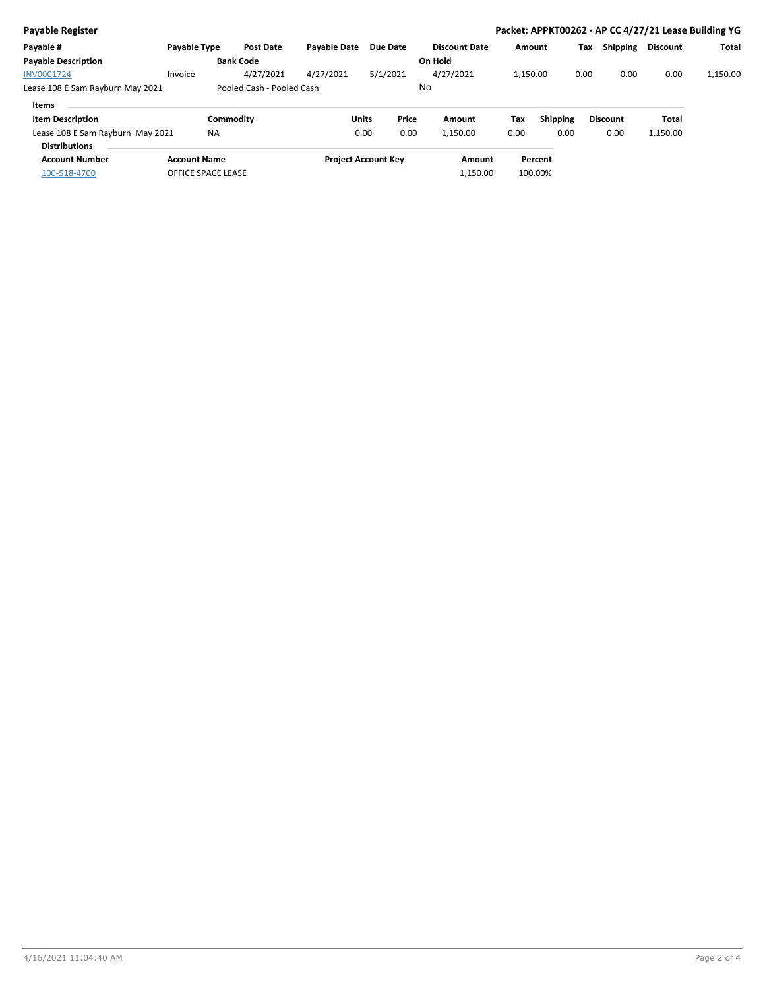| Payable Register                                         |                     |                           |                     |                            |                      |          |          |      |                 |                 | Packet: APPKT00262 - AP CC 4/27/21 Lease Building YG |
|----------------------------------------------------------|---------------------|---------------------------|---------------------|----------------------------|----------------------|----------|----------|------|-----------------|-----------------|------------------------------------------------------|
| Payable #                                                | Payable Type        | <b>Post Date</b>          | <b>Pavable Date</b> | <b>Due Date</b>            | <b>Discount Date</b> |          | Amount   | Tax  | <b>Shipping</b> | <b>Discount</b> | Total                                                |
| <b>Payable Description</b>                               |                     | <b>Bank Code</b>          |                     |                            | On Hold              |          |          |      |                 |                 |                                                      |
| INV0001724                                               | Invoice             | 4/27/2021                 | 4/27/2021           | 5/1/2021                   | 4/27/2021            |          | 1.150.00 | 0.00 | 0.00            | 0.00            | 1.150.00                                             |
| Lease 108 E Sam Rayburn May 2021                         |                     | Pooled Cash - Pooled Cash |                     |                            | No                   |          |          |      |                 |                 |                                                      |
| <b>Items</b>                                             |                     |                           |                     |                            |                      |          |          |      |                 |                 |                                                      |
| <b>Item Description</b>                                  |                     | Commodity                 |                     | Price<br><b>Units</b>      | Amount               | Tax      | Shipping |      | <b>Discount</b> | Total           |                                                      |
| Lease 108 E Sam Rayburn May 2021<br><b>Distributions</b> | <b>NA</b>           |                           |                     | 0.00<br>0.00               | 1,150.00             | 0.00     | 0.00     |      | 0.00            | 1,150.00        |                                                      |
| <b>Account Number</b>                                    | <b>Account Name</b> |                           |                     | <b>Project Account Key</b> |                      | Amount   | Percent  |      |                 |                 |                                                      |
| 100-518-4700                                             | OFFICE SPACE LEASE  |                           |                     |                            |                      | 1,150.00 | 100.00%  |      |                 |                 |                                                      |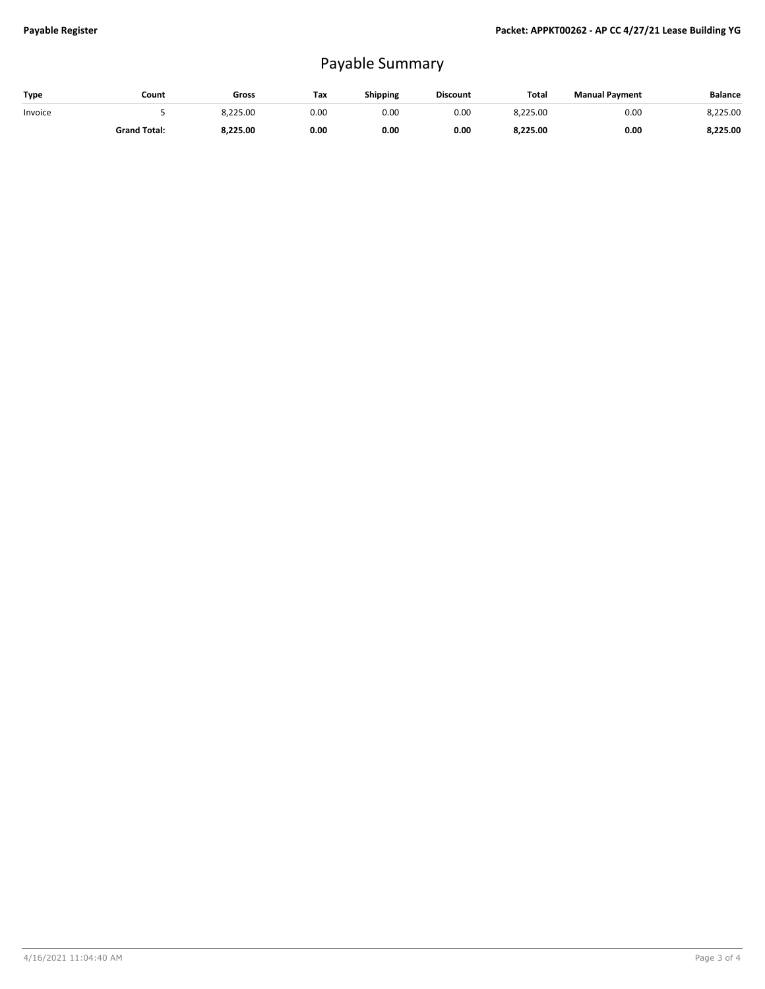## Payable Summary

| Type    | Count               | Gross    | Tax  | <b>Shipping</b> | <b>Discount</b> | <b>Total</b> | <b>Manual Payment</b> | <b>Balance</b> |
|---------|---------------------|----------|------|-----------------|-----------------|--------------|-----------------------|----------------|
| Invoice |                     | 8.225.00 | 0.00 | 0.00            | 0.00            | 8.225.00     | 0.00                  | 8.225.00       |
|         | <b>Grand Total:</b> | 8.225.00 | 0.00 | 0.00            | 0.00            | 8.225.00     | 0.00                  | 8.225.00       |